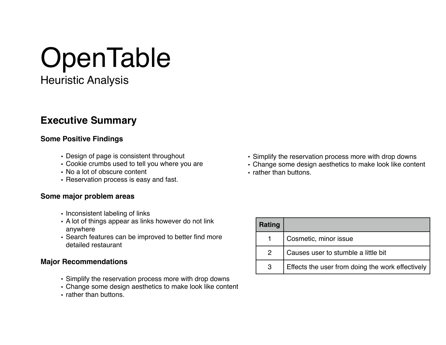# **OpenTable**

Heuristic Analysis

# **Executive Summary**

#### **Some Positive Findings**

- Design of page is consistent throughout
- Cookie crumbs used to tell you where you are
- No a lot of obscure content
- Reservation process is easy and fast.

### **Some major problem areas**

- Inconsistent labeling of links
- A lot of things appear as links however do not link anywhere
- Search features can be improved to better find more detailed restaurant

## **Major Recommendations**

- Simplify the reservation process more with drop downs
- Change some design aesthetics to make look like content
- rather than buttons.
- Simplify the reservation process more with drop downs
- Change some design aesthetics to make look like content
- rather than buttons.

| Rating        |                                                  |
|---------------|--------------------------------------------------|
|               | Cosmetic, minor issue                            |
| $\mathcal{P}$ | Causes user to stumble a little bit              |
| 3             | Effects the user from doing the work effectively |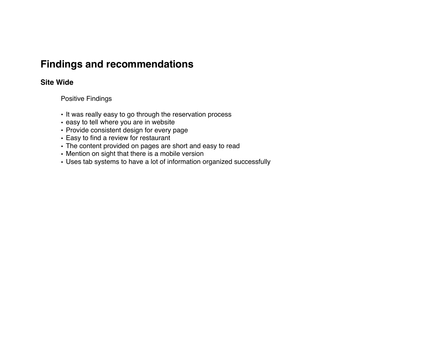# **Findings and recommendations**

## **Site Wide**

Positive Findings

- It was really easy to go through the reservation process
- easy to tell where you are in website
- Provide consistent design for every page
- Easy to find a review for restaurant
- The content provided on pages are short and easy to read
- Mention on sight that there is a mobile version
- Uses tab systems to have a lot of information organized successfully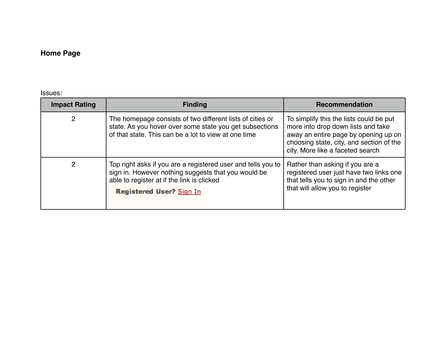## **Home Page**

Issues:

| <b>Impact Rating</b> | <b>Finding</b>                                                                                                                                                                                       | <b>Recommendation</b>                                                                                                                                                                                 |
|----------------------|------------------------------------------------------------------------------------------------------------------------------------------------------------------------------------------------------|-------------------------------------------------------------------------------------------------------------------------------------------------------------------------------------------------------|
| $\overline{2}$       | The homepage consists of two different lists of cities or<br>state. As you hover over some state you get subsections<br>of that state. This can be a lot to view at one time                         | To simplify this the lists could be put<br>more into drop down lists and take<br>away an entire page by opening up on<br>choosing state, city, and section of the<br>city. More like a faceted search |
| 2                    | Top right asks if you are a registered user and tells you to<br>sign in. However nothing suggests that you would be<br>able to register at if the link is clicked<br><b>Registered User? Sign In</b> | Rather than asking if you are a<br>registered user just have two links one<br>that tells you to sign in and the other<br>that will allow you to register                                              |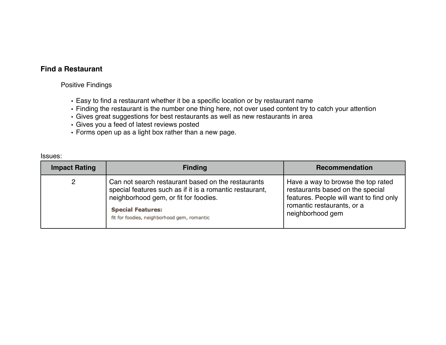#### **Find a Restaurant**

Positive Findings

- Easy to find a restaurant whether it be a specific location or by restaurant name
- Finding the restaurant is the number one thing here, not over used content try to catch your attention
- Gives great suggestions for best restaurants as well as new restaurants in area
- Gives you a feed of latest reviews posted
- Forms open up as a light box rather than a new page.

Issues:

| <b>Impact Rating</b> | <b>Finding</b>                                                                                                                                                                                                                     | Recommendation                                                                                                                                                      |
|----------------------|------------------------------------------------------------------------------------------------------------------------------------------------------------------------------------------------------------------------------------|---------------------------------------------------------------------------------------------------------------------------------------------------------------------|
| 2                    | Can not search restaurant based on the restaurants<br>special features such as if it is a romantic restaurant,<br>neighborhood gem, or fit for foodies.<br><b>Special Features:</b><br>fit for foodies, neighborhood gem, romantic | Have a way to browse the top rated<br>restaurants based on the special<br>features. People will want to find only<br>romantic restaurants, or a<br>neighborhood gem |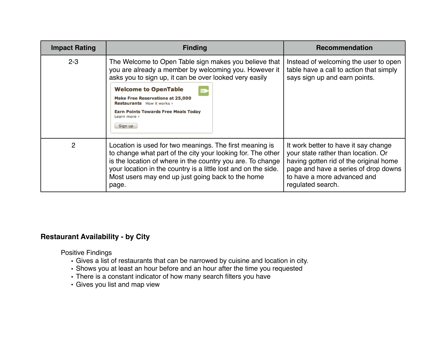| <b>Impact Rating</b> | <b>Finding</b>                                                                                                                                                                                                                                                                                                       | <b>Recommendation</b>                                                                                                                                                                                             |
|----------------------|----------------------------------------------------------------------------------------------------------------------------------------------------------------------------------------------------------------------------------------------------------------------------------------------------------------------|-------------------------------------------------------------------------------------------------------------------------------------------------------------------------------------------------------------------|
| $2 - 3$              | The Welcome to Open Table sign makes you believe that<br>you are already a member by welcoming you. However it<br>asks you to sign up, it can be over looked very easily                                                                                                                                             | Instead of welcoming the user to open<br>table have a call to action that simply<br>says sign up and earn points.                                                                                                 |
|                      | <b>Welcome to OpenTable</b><br><b>Make Free Reservations at 25,000</b><br><b>Restaurants</b> How it works ><br><b>Earn Points Towards Free Meals Today</b><br>Learn more ><br>Sign up                                                                                                                                |                                                                                                                                                                                                                   |
| $\overline{2}$       | Location is used for two meanings. The first meaning is<br>to change what part of the city your looking for. The other<br>is the location of where in the country you are. To change<br>your location in the country is a little lost and on the side.<br>Most users may end up just going back to the home<br>page. | It work better to have it say change<br>your state rather than location. Or<br>having gotten rid of the original home<br>page and have a series of drop downs<br>to have a more advanced and<br>regulated search. |

### **Restaurant Availability - by City**

Positive Findings

- Gives a list of restaurants that can be narrowed by cuisine and location in city.
- Shows you at least an hour before and an hour after the time you requested
- There is a constant indicator of how many search filters you have
- Gives you list and map view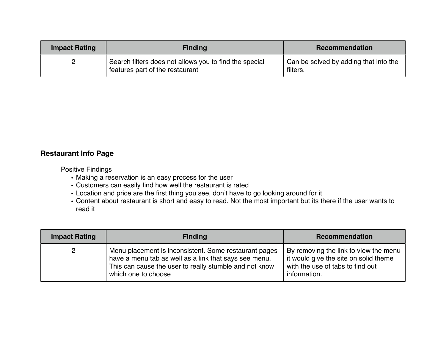| <b>Impact Rating</b> | <b>Finding</b>                                         | <b>Recommendation</b>                 |
|----------------------|--------------------------------------------------------|---------------------------------------|
| 2                    | Search filters does not allows you to find the special | Can be solved by adding that into the |
| ▃                    | features part of the restaurant                        | filters.                              |

#### **Restaurant Info Page**

Positive Findings

- Making a reservation is an easy process for the user
- Customers can easily find how well the restaurant is rated
- Location and price are the first thing you see, don't have to go looking around for it
- Content about restaurant is short and easy to read. Not the most important but its there if the user wants to read it

| <b>Impact Rating</b> | <b>Finding</b>                                                                                                                                                                                  | Recommendation                                                                                                                     |
|----------------------|-------------------------------------------------------------------------------------------------------------------------------------------------------------------------------------------------|------------------------------------------------------------------------------------------------------------------------------------|
| $\mathbf{2}$         | Menu placement is inconsistent. Some restaurant pages<br>have a menu tab as well as a link that says see menu.<br>This can cause the user to really stumble and not know<br>which one to choose | By removing the link to view the menu<br>it would give the site on solid theme<br>with the use of tabs to find out<br>information. |